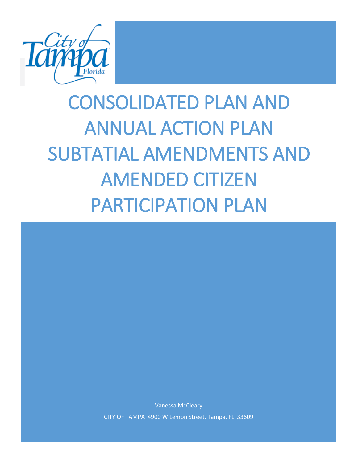

# CONSOLIDATED PLAN AND ANNUAL ACTION PLAN SUBTATIAL AMENDMENTS AND AMENDED CITIZEN PARTICIPATION PLAN

Vanessa McCleary CITY OF TAMPA 4900 W Lemon Street, Tampa, FL 33609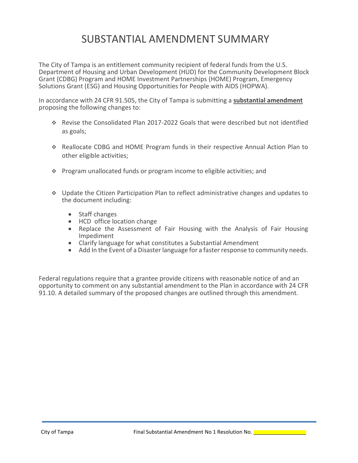The City of Tampa is an entitlement community recipient of federal funds from the U.S. Department of Housing and Urban Development (HUD) for the Community Development Block Grant (CDBG) Program and HOME Investment Partnerships (HOME) Program, Emergency Solutions Grant (ESG) and Housing Opportunities for People with AIDS (HOPWA).

In accordance with 24 CFR 91.505, the City of Tampa is submitting a **substantial amendment** proposing the following changes to:

- Revise the Consolidated Plan 2017-2022 Goals that were described but not identified as goals;
- Reallocate CDBG and HOME Program funds in their respective Annual Action Plan to other eligible activities;
- $\cdot$  Program unallocated funds or program income to eligible activities; and
- Update the Citizen Participation Plan to reflect administrative changes and updates to the document including:
	- Staff changes
	- HCD office location change
	- Replace the Assessment of Fair Housing with the Analysis of Fair Housing Impediment
	- Clarify language for what constitutes a Substantial Amendment
	- Add In the Event of a Disaster language for a faster response to community needs.

Federal regulations require that a grantee provide citizens with reasonable notice of and an opportunity to comment on any substantial amendment to the Plan in accordance with 24 CFR 91.10. A detailed summary of the proposed changes are outlined through this amendment.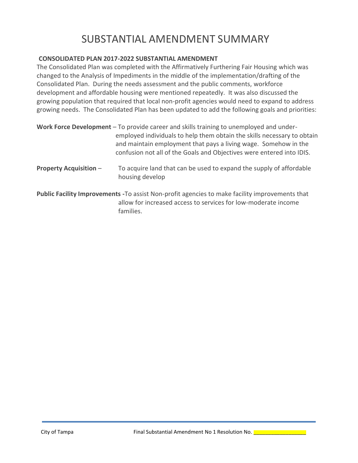## **CONSOLIDATED PLAN 2017-2022 SUBSTANTIAL AMENDMENT**

The Consolidated Plan was completed with the Affirmatively Furthering Fair Housing which was changed to the Analysis of Impediments in the middle of the implementation/drafting of the Consolidated Plan. During the needs assessment and the public comments, workforce development and affordable housing were mentioned repeatedly. It was also discussed the growing population that required that local non-profit agencies would need to expand to address growing needs. The Consolidated Plan has been updated to add the following goals and priorities:

|                               | Work Force Development – To provide career and skills training to unemployed and under-<br>employed individuals to help them obtain the skills necessary to obtain<br>and maintain employment that pays a living wage. Somehow in the<br>confusion not all of the Goals and Objectives were entered into IDIS. |  |  |  |
|-------------------------------|----------------------------------------------------------------------------------------------------------------------------------------------------------------------------------------------------------------------------------------------------------------------------------------------------------------|--|--|--|
| <b>Property Acquisition -</b> | To acquire land that can be used to expand the supply of affordable<br>housing develop                                                                                                                                                                                                                         |  |  |  |
|                               | Public Facility Improvements - To assist Non-profit agencies to make facility improvements that<br>allow for increased access to services for low-moderate income<br>families.                                                                                                                                 |  |  |  |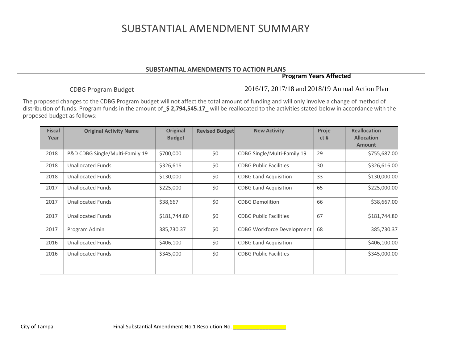#### **SUBSTANTIAL AMENDMENTS TO ACTION PLANS**

## **Program Years Affected**

CDBG Program Budget

2016/17, 2017/18 and 2018/19 Annual Action Plan

The proposed changes to the CDBG Program budget will not affect the total amount of funding and will only involve a change of method of distribution of funds. Program funds in the amount of\_**\$ 2,794,545.17\_** will be reallocated to the activities stated below in accordance with the proposed budget as follows:

| <b>Fiscal</b><br>Year | <b>Original Activity Name</b>   | <b>Original</b><br><b>Budget</b> | <b>Revised Budget</b> | <b>New Activity</b>               | Proje<br>ct# | <b>Reallocation</b><br><b>Allocation</b><br><b>Amount</b> |
|-----------------------|---------------------------------|----------------------------------|-----------------------|-----------------------------------|--------------|-----------------------------------------------------------|
| 2018                  | P&D CDBG Single/Multi-Family 19 | \$700,000                        | \$0                   | CDBG Single/Multi-Family 19       | 29           | \$755,687.00                                              |
| 2018                  | <b>Unallocated Funds</b>        | \$326,616                        | \$0                   | <b>CDBG Public Facilities</b>     | 30           | \$326,616.00                                              |
| 2018                  | <b>Unallocated Funds</b>        | \$130,000                        | \$0                   | <b>CDBG Land Acquisition</b>      | 33           | \$130,000.00                                              |
| 2017                  | <b>Unallocated Funds</b>        | \$225,000                        | \$0                   | <b>CDBG Land Acquisition</b>      | 65           | \$225,000.00                                              |
| 2017                  | <b>Unallocated Funds</b>        | \$38,667                         | \$0                   | <b>CDBG Demolition</b>            | 66           | \$38,667.00                                               |
| 2017                  | <b>Unallocated Funds</b>        | \$181,744.80                     | \$0                   | <b>CDBG Public Facilities</b>     | 67           | \$181,744.80                                              |
| 2017                  | Program Admin                   | 385,730.37                       | \$0                   | <b>CDBG Workforce Development</b> | 68           | 385,730.37                                                |
| 2016                  | <b>Unallocated Funds</b>        | \$406,100                        | \$0                   | <b>CDBG Land Acquisition</b>      |              | \$406,100.00                                              |
| 2016                  | <b>Unallocated Funds</b>        | \$345,000                        | \$0                   | <b>CDBG Public Facilities</b>     |              | \$345,000.00                                              |
|                       |                                 |                                  |                       |                                   |              |                                                           |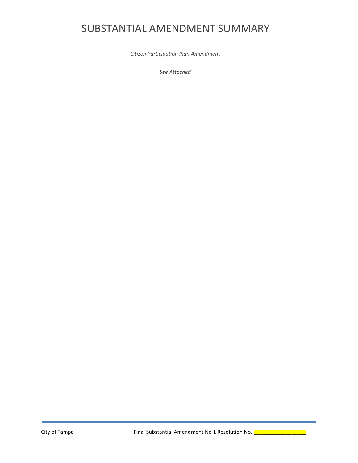*Citizen Participation Plan Amendment*

*See Attached*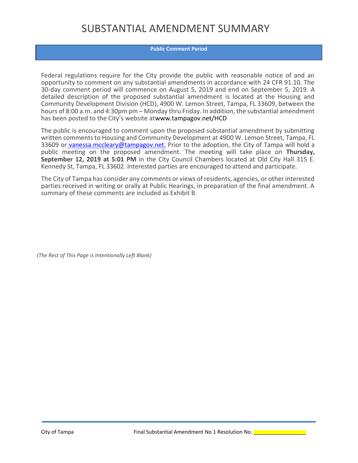#### **Public Comment Period**

Federal regulations require for the City provide the public with reasonable notice of and an opportunity to comment on any substantial amendments in accordance with 24 CFR 91.10. The 30-day comment period will commence on August 5, 2019 and end on September 5, 2019. A detailed description of the proposed substantial amendment is located at the Housing and Community Development Division (HCD), 4900 W. Lemon Street, Tampa, FL 33609, between the hours of 8:00 a.m. and 4:30pm pm – Monday thru Friday. In addition, the substantial amendment has been posted to the City's website atwww.tampagov.net/HCD

The public is encouraged to comment upon the proposed substantial amendment by submitting written comments to Housing and Community Development at 4900 W. Lemon Street, Tampa, FL 33609 or vanessa.mccleary@tampagov.net. Prior to the adoption, the City of Tampa will hold a public meeting on the proposed amendment. The meeting will take place on **Thursday, September 12, 2019 at 5:01 PM** in the City Council Chambers located at Old City Hall 315 E. Kennedy St, Tampa, FL 33602. Interested parties are encouraged to attend and participate.

The City of Tampa has consider any comments or views of residents, agencies, or other interested parties received in writing or orally at Public Hearings, in preparation of the final amendment. A summary of these comments are included as Exhibit B.

*(The Rest of This Page is Intentionally Left Blank)*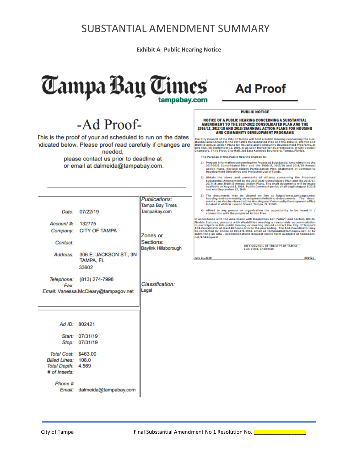**Exhibit A- Public Hearing Notice**